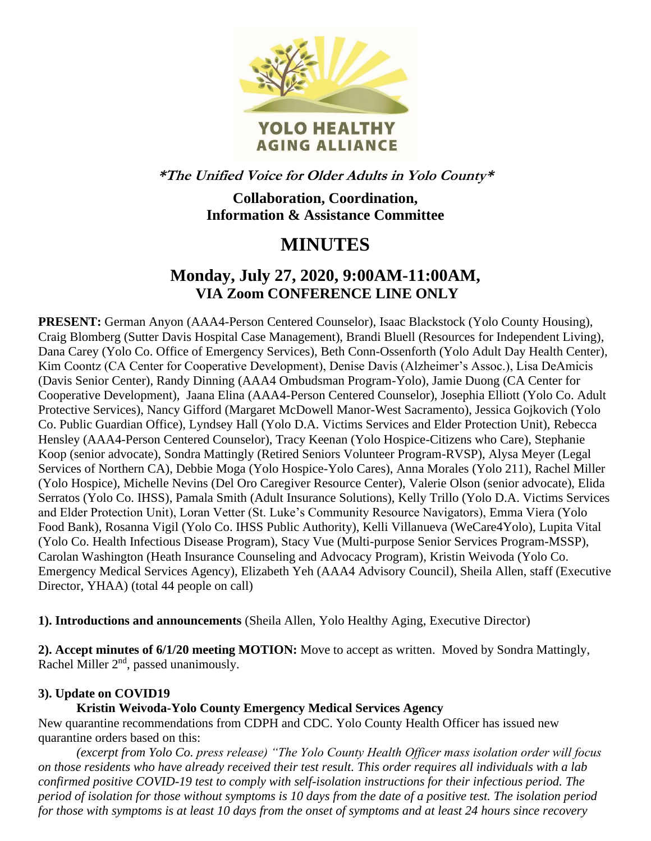

**\*The Unified Voice for Older Adults in Yolo County\***

**Collaboration, Coordination, Information & Assistance Committee**

# **MINUTES**

# **Monday, July 27, 2020, 9:00AM-11:00AM, VIA Zoom CONFERENCE LINE ONLY**

**PRESENT:** German Anyon (AAA4-Person Centered Counselor), Isaac Blackstock (Yolo County Housing), Craig Blomberg (Sutter Davis Hospital Case Management), Brandi Bluell (Resources for Independent Living), Dana Carey (Yolo Co. Office of Emergency Services), Beth Conn-Ossenforth (Yolo Adult Day Health Center), Kim Coontz (CA Center for Cooperative Development), Denise Davis (Alzheimer's Assoc.), Lisa DeAmicis (Davis Senior Center), Randy Dinning (AAA4 Ombudsman Program-Yolo), Jamie Duong (CA Center for Cooperative Development), Jaana Elina (AAA4-Person Centered Counselor), Josephia Elliott (Yolo Co. Adult Protective Services), Nancy Gifford (Margaret McDowell Manor-West Sacramento), Jessica Gojkovich (Yolo Co. Public Guardian Office), Lyndsey Hall (Yolo D.A. Victims Services and Elder Protection Unit), Rebecca Hensley (AAA4-Person Centered Counselor), Tracy Keenan (Yolo Hospice-Citizens who Care), Stephanie Koop (senior advocate), Sondra Mattingly (Retired Seniors Volunteer Program-RVSP), Alysa Meyer (Legal Services of Northern CA), Debbie Moga (Yolo Hospice-Yolo Cares), Anna Morales (Yolo 211), Rachel Miller (Yolo Hospice), Michelle Nevins (Del Oro Caregiver Resource Center), Valerie Olson (senior advocate), Elida Serratos (Yolo Co. IHSS), Pamala Smith (Adult Insurance Solutions), Kelly Trillo (Yolo D.A. Victims Services and Elder Protection Unit), Loran Vetter (St. Luke's Community Resource Navigators), Emma Viera (Yolo Food Bank), Rosanna Vigil (Yolo Co. IHSS Public Authority), Kelli Villanueva (WeCare4Yolo), Lupita Vital (Yolo Co. Health Infectious Disease Program), Stacy Vue (Multi-purpose Senior Services Program-MSSP), Carolan Washington (Heath Insurance Counseling and Advocacy Program), Kristin Weivoda (Yolo Co. Emergency Medical Services Agency), Elizabeth Yeh (AAA4 Advisory Council), Sheila Allen, staff (Executive Director, YHAA) (total 44 people on call)

**1). Introductions and announcements** (Sheila Allen, Yolo Healthy Aging, Executive Director)

**2). Accept minutes of 6/1/20 meeting MOTION:** Move to accept as written. Moved by Sondra Mattingly, Rachel Miller 2<sup>nd</sup>, passed unanimously.

## **3). Update on COVID19**

#### **Kristin Weivoda-Yolo County Emergency Medical Services Agency**

New quarantine recommendations from CDPH and CDC. Yolo County Health Officer has issued new quarantine orders based on this:

*(excerpt from Yolo Co. press release) "The Yolo County Health Officer mass isolation order will focus on those residents who have already received their test result. This order requires all individuals with a lab confirmed positive COVID-19 test to comply with self-isolation instructions for their infectious period. The period of isolation for those without symptoms is 10 days from the date of a positive test. The isolation period for those with symptoms is at least 10 days from the onset of symptoms and at least 24 hours since recovery*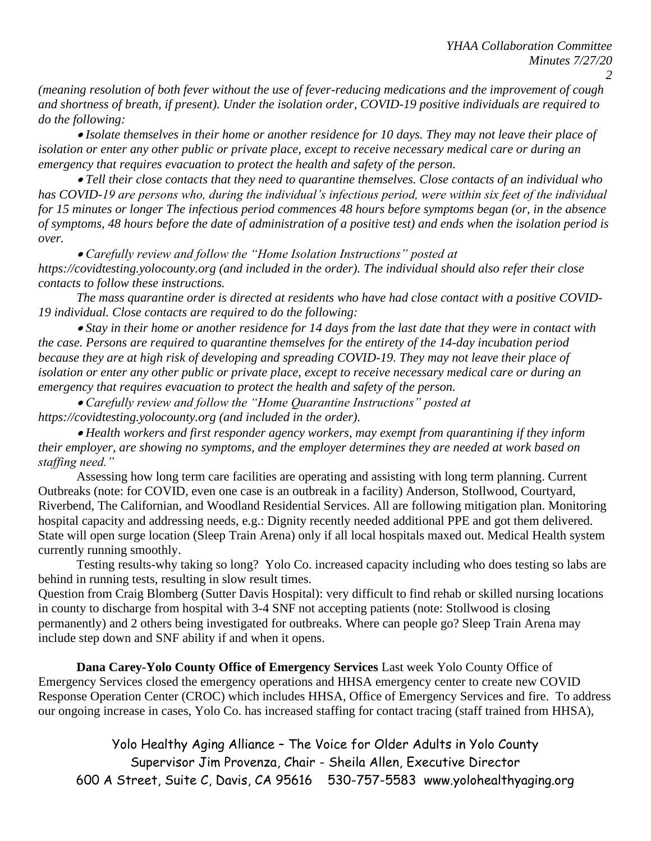*2*

*(meaning resolution of both fever without the use of fever-reducing medications and the improvement of cough and shortness of breath, if present). Under the isolation order, COVID-19 positive individuals are required to do the following:* 

• *Isolate themselves in their home or another residence for 10 days. They may not leave their place of isolation or enter any other public or private place, except to receive necessary medical care or during an emergency that requires evacuation to protect the health and safety of the person.* 

• *Tell their close contacts that they need to quarantine themselves. Close contacts of an individual who has COVID-19 are persons who, during the individual's infectious period, were within six feet of the individual for 15 minutes or longer The infectious period commences 48 hours before symptoms began (or, in the absence of symptoms, 48 hours before the date of administration of a positive test) and ends when the isolation period is over.* 

• *Carefully review and follow the "Home Isolation Instructions" posted at https://covidtesting.yolocounty.org (and included in the order). The individual should also refer their close contacts to follow these instructions.* 

*The mass quarantine order is directed at residents who have had close contact with a positive COVID-19 individual. Close contacts are required to do the following:* 

• *Stay in their home or another residence for 14 days from the last date that they were in contact with the case. Persons are required to quarantine themselves for the entirety of the 14-day incubation period because they are at high risk of developing and spreading COVID-19. They may not leave their place of isolation or enter any other public or private place, except to receive necessary medical care or during an emergency that requires evacuation to protect the health and safety of the person.* 

• *Carefully review and follow the "Home Quarantine Instructions" posted at https://covidtesting.yolocounty.org (and included in the order).* 

• *Health workers and first responder agency workers, may exempt from quarantining if they inform their employer, are showing no symptoms, and the employer determines they are needed at work based on staffing need."*

Assessing how long term care facilities are operating and assisting with long term planning. Current Outbreaks (note: for COVID, even one case is an outbreak in a facility) Anderson, Stollwood, Courtyard, Riverbend, The Californian, and Woodland Residential Services. All are following mitigation plan. Monitoring hospital capacity and addressing needs, e.g.: Dignity recently needed additional PPE and got them delivered. State will open surge location (Sleep Train Arena) only if all local hospitals maxed out. Medical Health system currently running smoothly.

Testing results-why taking so long? Yolo Co. increased capacity including who does testing so labs are behind in running tests, resulting in slow result times.

Question from Craig Blomberg (Sutter Davis Hospital): very difficult to find rehab or skilled nursing locations in county to discharge from hospital with 3-4 SNF not accepting patients (note: Stollwood is closing permanently) and 2 others being investigated for outbreaks. Where can people go? Sleep Train Arena may include step down and SNF ability if and when it opens.

**Dana Carey-Yolo County Office of Emergency Services** Last week Yolo County Office of Emergency Services closed the emergency operations and HHSA emergency center to create new COVID Response Operation Center (CROC) which includes HHSA, Office of Emergency Services and fire. To address our ongoing increase in cases, Yolo Co. has increased staffing for contact tracing (staff trained from HHSA),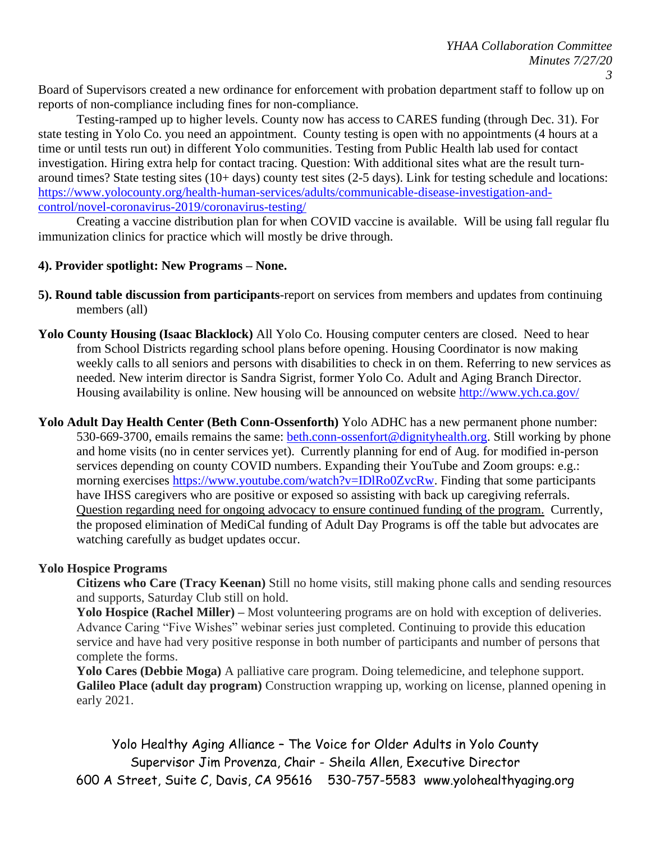Board of Supervisors created a new ordinance for enforcement with probation department staff to follow up on reports of non-compliance including fines for non-compliance.

Testing-ramped up to higher levels. County now has access to CARES funding (through Dec. 31). For state testing in Yolo Co. you need an appointment. County testing is open with no appointments (4 hours at a time or until tests run out) in different Yolo communities. Testing from Public Health lab used for contact investigation. Hiring extra help for contact tracing. Question: With additional sites what are the result turnaround times? State testing sites (10+ days) county test sites (2-5 days). Link for testing schedule and locations: [https://www.yolocounty.org/health-human-services/adults/communicable-disease-investigation-and](https://www.yolocounty.org/health-human-services/adults/communicable-disease-investigation-and-control/novel-coronavirus-2019/coronavirus-testing/)[control/novel-coronavirus-2019/coronavirus-testing/](https://www.yolocounty.org/health-human-services/adults/communicable-disease-investigation-and-control/novel-coronavirus-2019/coronavirus-testing/)

Creating a vaccine distribution plan for when COVID vaccine is available. Will be using fall regular flu immunization clinics for practice which will mostly be drive through.

## **4). Provider spotlight: New Programs – None.**

- **5). Round table discussion from participants**-report on services from members and updates from continuing members (all)
- **Yolo County Housing (Isaac Blacklock)** All Yolo Co. Housing computer centers are closed. Need to hear from School Districts regarding school plans before opening. Housing Coordinator is now making weekly calls to all seniors and persons with disabilities to check in on them. Referring to new services as needed. New interim director is Sandra Sigrist, former Yolo Co. Adult and Aging Branch Director. Housing availability is online. New housing will be announced on website<http://www.ych.ca.gov/>
- **Yolo Adult Day Health Center (Beth Conn-Ossenforth)** Yolo ADHC has a new permanent phone number: 530-669-3700, emails remains the same: [beth.conn-ossenfort@dignityhealth.org.](mailto:beth.conn-ossenfort@dignityhealth.org) Still working by phone and home visits (no in center services yet). Currently planning for end of Aug. for modified in-person services depending on county COVID numbers. Expanding their YouTube and Zoom groups: e.g.: morning exercises [https://www.youtube.com/watch?v=IDlRo0ZvcRw.](https://www.youtube.com/watch?v=IDlRo0ZvcRw) Finding that some participants have IHSS caregivers who are positive or exposed so assisting with back up caregiving referrals. Question regarding need for ongoing advocacy to ensure continued funding of the program. Currently, the proposed elimination of MediCal funding of Adult Day Programs is off the table but advocates are watching carefully as budget updates occur.

## **Yolo Hospice Programs**

**Citizens who Care (Tracy Keenan)** Still no home visits, still making phone calls and sending resources and supports, Saturday Club still on hold.

**Yolo Hospice (Rachel Miller) –** Most volunteering programs are on hold with exception of deliveries. Advance Caring "Five Wishes" webinar series just completed. Continuing to provide this education service and have had very positive response in both number of participants and number of persons that complete the forms.

**Yolo Cares (Debbie Moga)** A palliative care program. Doing telemedicine, and telephone support. **Galileo Place (adult day program)** Construction wrapping up, working on license, planned opening in early 2021.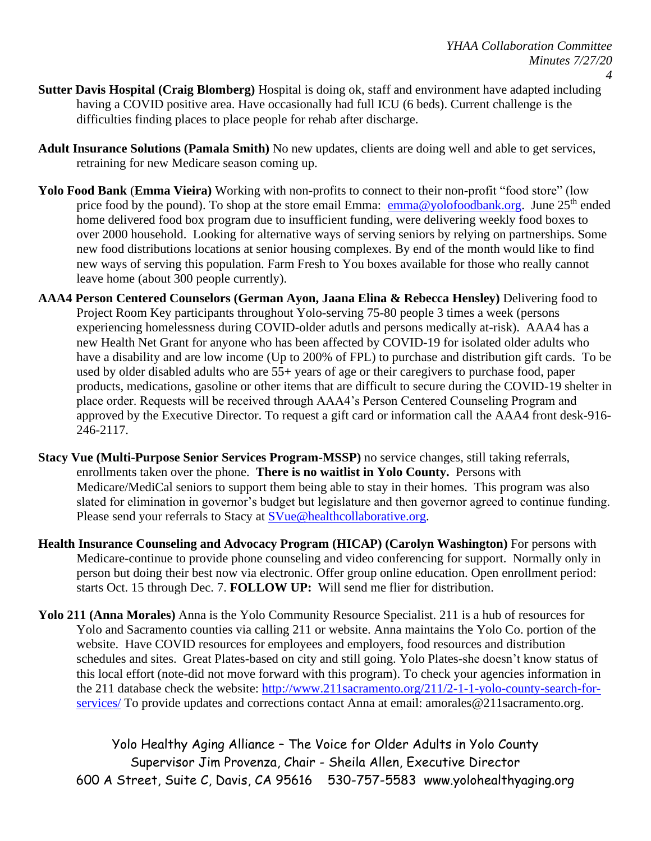- **Sutter Davis Hospital (Craig Blomberg)** Hospital is doing ok, staff and environment have adapted including having a COVID positive area. Have occasionally had full ICU (6 beds). Current challenge is the difficulties finding places to place people for rehab after discharge.
- **Adult Insurance Solutions (Pamala Smith)** No new updates, clients are doing well and able to get services, retraining for new Medicare season coming up.
- **Yolo Food Bank** (**Emma Vieira)** Working with non-profits to connect to their non-profit "food store" (low price food by the pound). To shop at the store email Emma: [emma@yolofoodbank.org.](mailto:emma@yolofoodbank.org) June 25<sup>th</sup> ended home delivered food box program due to insufficient funding, were delivering weekly food boxes to over 2000 household. Looking for alternative ways of serving seniors by relying on partnerships. Some new food distributions locations at senior housing complexes. By end of the month would like to find new ways of serving this population. Farm Fresh to You boxes available for those who really cannot leave home (about 300 people currently).
- **AAA4 Person Centered Counselors (German Ayon, Jaana Elina & Rebecca Hensley)** Delivering food to Project Room Key participants throughout Yolo-serving 75-80 people 3 times a week (persons experiencing homelessness during COVID-older adutls and persons medically at-risk). AAA4 has a new Health Net Grant for anyone who has been affected by COVID-19 for isolated older adults who have a disability and are low income (Up to 200% of FPL) to purchase and distribution gift cards. To be used by older disabled adults who are 55+ years of age or their caregivers to purchase food, paper products, medications, gasoline or other items that are difficult to secure during the COVID-19 shelter in place order. Requests will be received through AAA4's Person Centered Counseling Program and approved by the Executive Director. To request a gift card or information call the AAA4 front desk-916- 246-2117.
- **Stacy Vue (Multi-Purpose Senior Services Program-MSSP)** no service changes, still taking referrals, enrollments taken over the phone. **There is no waitlist in Yolo County.** Persons with Medicare/MediCal seniors to support them being able to stay in their homes. This program was also slated for elimination in governor's budget but legislature and then governor agreed to continue funding. Please send your referrals to Stacy at [SVue@healthcollaborative.org.](mailto:SVue@healthcollaborative.org)
- **Health Insurance Counseling and Advocacy Program (HICAP) (Carolyn Washington)** For persons with Medicare-continue to provide phone counseling and video conferencing for support. Normally only in person but doing their best now via electronic. Offer group online education. Open enrollment period: starts Oct. 15 through Dec. 7. **FOLLOW UP:** Will send me flier for distribution.
- **Yolo 211 (Anna Morales)** Anna is the Yolo Community Resource Specialist. 211 is a hub of resources for Yolo and Sacramento counties via calling 211 or website. Anna maintains the Yolo Co. portion of the website. Have COVID resources for employees and employers, food resources and distribution schedules and sites. Great Plates-based on city and still going. Yolo Plates-she doesn't know status of this local effort (note-did not move forward with this program). To check your agencies information in the 211 database check the website: [http://www.211sacramento.org/211/2-1-1-yolo-county-search-for](http://www.211sacramento.org/211/2-1-1-yolo-county-search-for-services/)[services/](http://www.211sacramento.org/211/2-1-1-yolo-county-search-for-services/) To provide updates and corrections contact Anna at email: amorales@211sacramento.org.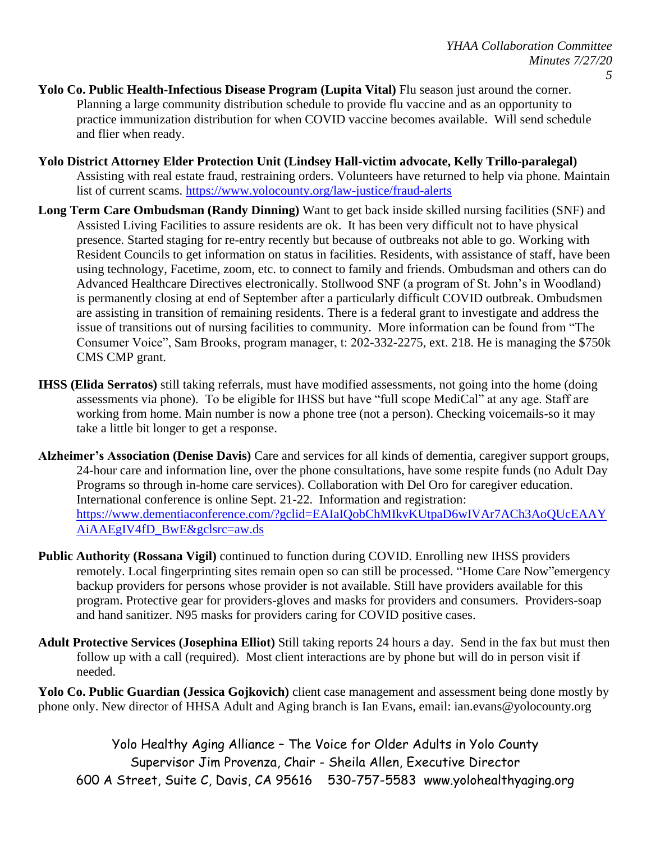- **Yolo Co. Public Health-Infectious Disease Program (Lupita Vital)** Flu season just around the corner. Planning a large community distribution schedule to provide flu vaccine and as an opportunity to practice immunization distribution for when COVID vaccine becomes available. Will send schedule and flier when ready.
- **Yolo District Attorney Elder Protection Unit (Lindsey Hall-victim advocate, Kelly Trillo-paralegal)** Assisting with real estate fraud, restraining orders. Volunteers have returned to help via phone. Maintain list of current scams.<https://www.yolocounty.org/law-justice/fraud-alerts>
- **Long Term Care Ombudsman (Randy Dinning)** Want to get back inside skilled nursing facilities (SNF) and Assisted Living Facilities to assure residents are ok. It has been very difficult not to have physical presence. Started staging for re-entry recently but because of outbreaks not able to go. Working with Resident Councils to get information on status in facilities. Residents, with assistance of staff, have been using technology, Facetime, zoom, etc. to connect to family and friends. Ombudsman and others can do Advanced Healthcare Directives electronically. Stollwood SNF (a program of St. John's in Woodland) is permanently closing at end of September after a particularly difficult COVID outbreak. Ombudsmen are assisting in transition of remaining residents. There is a federal grant to investigate and address the issue of transitions out of nursing facilities to community. More information can be found from "The Consumer Voice", Sam Brooks, program manager, t: 202-332-2275, ext. 218. He is managing the \$750k CMS CMP grant.
- **IHSS (Elida Serratos)** still taking referrals, must have modified assessments, not going into the home (doing assessments via phone). To be eligible for IHSS but have "full scope MediCal" at any age. Staff are working from home. Main number is now a phone tree (not a person). Checking voicemails-so it may take a little bit longer to get a response.
- **Alzheimer's Association (Denise Davis)** Care and services for all kinds of dementia, caregiver support groups, 24-hour care and information line, over the phone consultations, have some respite funds (no Adult Day Programs so through in-home care services). Collaboration with Del Oro for caregiver education. International conference is online Sept. 21-22. Information and registration: [https://www.dementiaconference.com/?gclid=EAIaIQobChMIkvKUtpaD6wIVAr7ACh3AoQUcEAAY](https://www.dementiaconference.com/?gclid=EAIaIQobChMIkvKUtpaD6wIVAr7ACh3AoQUcEAAYAiAAEgIV4fD_BwE&gclsrc=aw.ds) [AiAAEgIV4fD\\_BwE&gclsrc=aw.ds](https://www.dementiaconference.com/?gclid=EAIaIQobChMIkvKUtpaD6wIVAr7ACh3AoQUcEAAYAiAAEgIV4fD_BwE&gclsrc=aw.ds)
- **Public Authority (Rossana Vigil)** continued to function during COVID. Enrolling new IHSS providers remotely. Local fingerprinting sites remain open so can still be processed. "Home Care Now"emergency backup providers for persons whose provider is not available. Still have providers available for this program. Protective gear for providers-gloves and masks for providers and consumers. Providers-soap and hand sanitizer. N95 masks for providers caring for COVID positive cases.
- **Adult Protective Services (Josephina Elliot)** Still taking reports 24 hours a day. Send in the fax but must then follow up with a call (required). Most client interactions are by phone but will do in person visit if needed.

**Yolo Co. Public Guardian (Jessica Gojkovich)** client case management and assessment being done mostly by phone only. New director of HHSA Adult and Aging branch is Ian Evans, email: ian.evans@yolocounty.org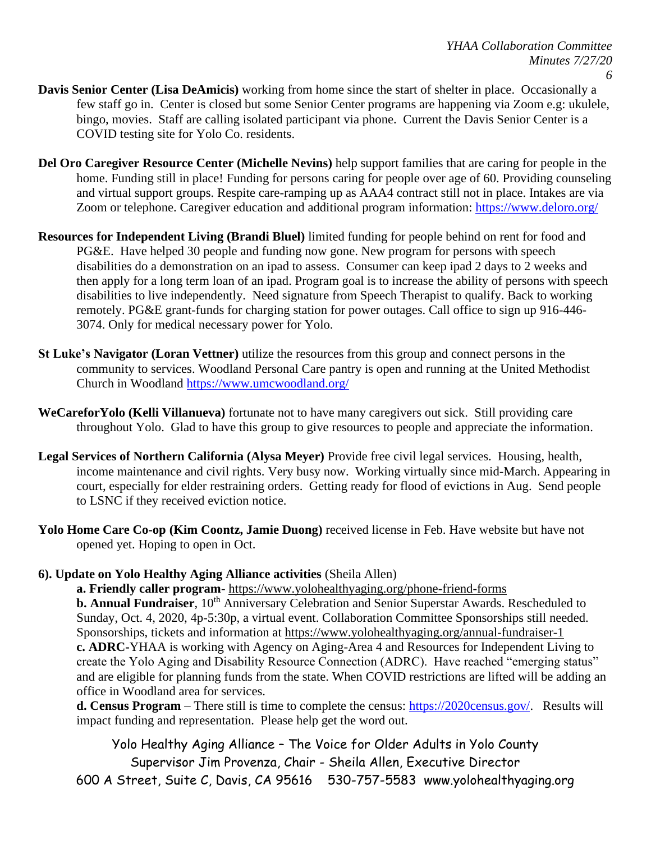- **Davis Senior Center (Lisa DeAmicis)** working from home since the start of shelter in place. Occasionally a few staff go in. Center is closed but some Senior Center programs are happening via Zoom e.g: ukulele, bingo, movies. Staff are calling isolated participant via phone. Current the Davis Senior Center is a COVID testing site for Yolo Co. residents.
- **Del Oro Caregiver Resource Center (Michelle Nevins)** help support families that are caring for people in the home. Funding still in place! Funding for persons caring for people over age of 60. Providing counseling and virtual support groups. Respite care-ramping up as AAA4 contract still not in place. Intakes are via Zoom or telephone. Caregiver education and additional program information:<https://www.deloro.org/>
- **Resources for Independent Living (Brandi Bluel)** limited funding for people behind on rent for food and PG&E. Have helped 30 people and funding now gone. New program for persons with speech disabilities do a demonstration on an ipad to assess. Consumer can keep ipad 2 days to 2 weeks and then apply for a long term loan of an ipad. Program goal is to increase the ability of persons with speech disabilities to live independently. Need signature from Speech Therapist to qualify. Back to working remotely. PG&E grant-funds for charging station for power outages. Call office to sign up 916-446- 3074. Only for medical necessary power for Yolo.
- **St Luke's Navigator (Loran Vettner)** utilize the resources from this group and connect persons in the community to services. Woodland Personal Care pantry is open and running at the United Methodist Church in Woodland <https://www.umcwoodland.org/>
- **WeCareforYolo (Kelli Villanueva)** fortunate not to have many caregivers out sick. Still providing care throughout Yolo. Glad to have this group to give resources to people and appreciate the information.
- **Legal Services of Northern California (Alysa Meyer)** Provide free civil legal services. Housing, health, income maintenance and civil rights. Very busy now. Working virtually since mid-March. Appearing in court, especially for elder restraining orders. Getting ready for flood of evictions in Aug. Send people to LSNC if they received eviction notice.
- **Yolo Home Care Co-op (Kim Coontz, Jamie Duong)** received license in Feb. Have website but have not opened yet. Hoping to open in Oct.

## **6). Update on Yolo Healthy Aging Alliance activities** (Sheila Allen)

**a. Friendly caller program**- <https://www.yolohealthyaging.org/phone-friend-forms> **b. Annual Fundraiser**, 10<sup>th</sup> Anniversary Celebration and Senior Superstar Awards. Rescheduled to Sunday, Oct. 4, 2020, 4p-5:30p, a virtual event. Collaboration Committee Sponsorships still needed. Sponsorships, tickets and information at<https://www.yolohealthyaging.org/annual-fundraiser-1> **c. ADRC-**YHAA is working with Agency on Aging-Area 4 and Resources for Independent Living to create the Yolo Aging and Disability Resource Connection (ADRC). Have reached "emerging status" and are eligible for planning funds from the state. When COVID restrictions are lifted will be adding an office in Woodland area for services.

**d. Census Program** – There still is time to complete the census: [https://2020census.gov/.](https://2020census.gov/) Results will impact funding and representation. Please help get the word out.